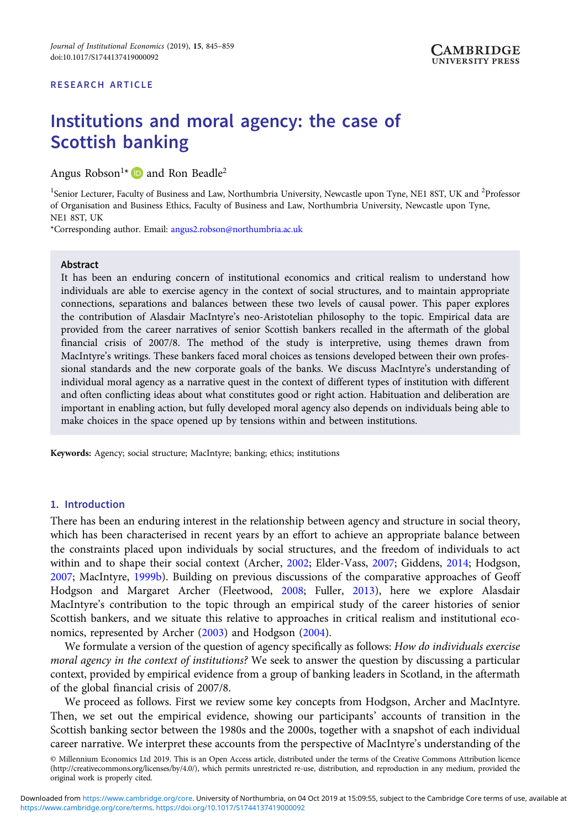# RESEARCH ARTICLE

# Institutions and moral agency: the case of Scottish banking

Angus Robson<sup>1\*</sup>  $\bullet$  and Ron Beadle<sup>2</sup>

<sup>1</sup>Senior Lecturer, Faculty of Business and Law, Northumbria University, Newcastle upon Tyne, NE1 8ST, UK and <sup>2</sup>Professor of Organisation and Business Ethics, Faculty of Business and Law, Northumbria University, Newcastle upon Tyne, NE1 8ST, UK

\*Corresponding author. Email: [angus2.robson@northumbria.ac.uk](mailto:angus2.robson@northumbria.ac.uk)

#### Abstract

It has been an enduring concern of institutional economics and critical realism to understand how individuals are able to exercise agency in the context of social structures, and to maintain appropriate connections, separations and balances between these two levels of causal power. This paper explores the contribution of Alasdair MacIntyre's neo-Aristotelian philosophy to the topic. Empirical data are provided from the career narratives of senior Scottish bankers recalled in the aftermath of the global financial crisis of 2007/8. The method of the study is interpretive, using themes drawn from MacIntyre's writings. These bankers faced moral choices as tensions developed between their own professional standards and the new corporate goals of the banks. We discuss MacIntyre's understanding of individual moral agency as a narrative quest in the context of different types of institution with different and often conflicting ideas about what constitutes good or right action. Habituation and deliberation are important in enabling action, but fully developed moral agency also depends on individuals being able to make choices in the space opened up by tensions within and between institutions.

Keywords: Agency; social structure; MacIntyre; banking; ethics; institutions

## 1. Introduction

There has been an enduring interest in the relationship between agency and structure in social theory, which has been characterised in recent years by an effort to achieve an appropriate balance between the constraints placed upon individuals by social structures, and the freedom of individuals to act within and to shape their social context (Archer, [2002](#page-13-0); Elder-Vass, [2007](#page-13-0); Giddens, [2014;](#page-13-0) Hodgson, [2007](#page-13-0); MacIntyre, [1999b\)](#page-13-0). Building on previous discussions of the comparative approaches of Geoff Hodgson and Margaret Archer (Fleetwood, [2008](#page-13-0); Fuller, [2013\)](#page-13-0), here we explore Alasdair MacIntyre's contribution to the topic through an empirical study of the career histories of senior Scottish bankers, and we situate this relative to approaches in critical realism and institutional economics, represented by Archer ([2003](#page-13-0)) and Hodgson ([2004\)](#page-13-0).

We formulate a version of the question of agency specifically as follows: How do individuals exercise moral agency in the context of institutions? We seek to answer the question by discussing a particular context, provided by empirical evidence from a group of banking leaders in Scotland, in the aftermath of the global financial crisis of 2007/8.

We proceed as follows. First we review some key concepts from Hodgson, Archer and MacIntyre. Then, we set out the empirical evidence, showing our participants' accounts of transition in the Scottish banking sector between the 1980s and the 2000s, together with a snapshot of each individual career narrative. We interpret these accounts from the perspective of MacIntyre's understanding of the

© Millennium Economics Ltd 2019. This is an Open Access article, distributed under the terms of the Creative Commons Attribution licence (http://creativecommons.org/licenses/by/4.0/), which permits unrestricted re-use, distribution, and reproduction in any medium, provided the original work is properly cited.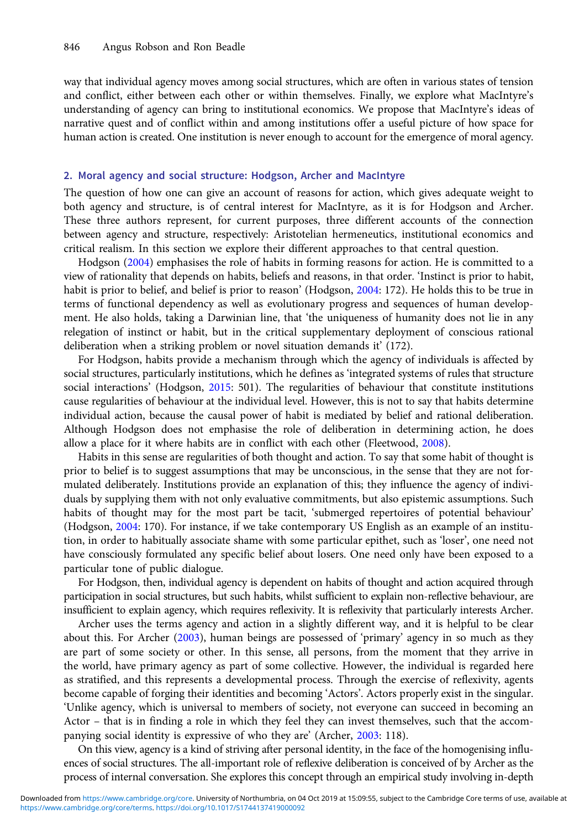way that individual agency moves among social structures, which are often in various states of tension and conflict, either between each other or within themselves. Finally, we explore what MacIntyre's understanding of agency can bring to institutional economics. We propose that MacIntyre's ideas of narrative quest and of conflict within and among institutions offer a useful picture of how space for human action is created. One institution is never enough to account for the emergence of moral agency.

#### 2. Moral agency and social structure: Hodgson, Archer and MacIntyre

The question of how one can give an account of reasons for action, which gives adequate weight to both agency and structure, is of central interest for MacIntyre, as it is for Hodgson and Archer. These three authors represent, for current purposes, three different accounts of the connection between agency and structure, respectively: Aristotelian hermeneutics, institutional economics and critical realism. In this section we explore their different approaches to that central question.

Hodgson ([2004](#page-13-0)) emphasises the role of habits in forming reasons for action. He is committed to a view of rationality that depends on habits, beliefs and reasons, in that order. 'Instinct is prior to habit, habit is prior to belief, and belief is prior to reason' (Hodgson, [2004](#page-13-0): 172). He holds this to be true in terms of functional dependency as well as evolutionary progress and sequences of human development. He also holds, taking a Darwinian line, that 'the uniqueness of humanity does not lie in any relegation of instinct or habit, but in the critical supplementary deployment of conscious rational deliberation when a striking problem or novel situation demands it' (172).

For Hodgson, habits provide a mechanism through which the agency of individuals is affected by social structures, particularly institutions, which he defines as 'integrated systems of rules that structure social interactions' (Hodgson, [2015](#page-13-0): 501). The regularities of behaviour that constitute institutions cause regularities of behaviour at the individual level. However, this is not to say that habits determine individual action, because the causal power of habit is mediated by belief and rational deliberation. Although Hodgson does not emphasise the role of deliberation in determining action, he does allow a place for it where habits are in conflict with each other (Fleetwood, [2008](#page-13-0)).

Habits in this sense are regularities of both thought and action. To say that some habit of thought is prior to belief is to suggest assumptions that may be unconscious, in the sense that they are not formulated deliberately. Institutions provide an explanation of this; they influence the agency of individuals by supplying them with not only evaluative commitments, but also epistemic assumptions. Such habits of thought may for the most part be tacit, 'submerged repertoires of potential behaviour' (Hodgson, [2004:](#page-13-0) 170). For instance, if we take contemporary US English as an example of an institution, in order to habitually associate shame with some particular epithet, such as 'loser', one need not have consciously formulated any specific belief about losers. One need only have been exposed to a particular tone of public dialogue.

For Hodgson, then, individual agency is dependent on habits of thought and action acquired through participation in social structures, but such habits, whilst sufficient to explain non-reflective behaviour, are insufficient to explain agency, which requires reflexivity. It is reflexivity that particularly interests Archer.

Archer uses the terms agency and action in a slightly different way, and it is helpful to be clear about this. For Archer ([2003\)](#page-13-0), human beings are possessed of 'primary' agency in so much as they are part of some society or other. In this sense, all persons, from the moment that they arrive in the world, have primary agency as part of some collective. However, the individual is regarded here as stratified, and this represents a developmental process. Through the exercise of reflexivity, agents become capable of forging their identities and becoming 'Actors'. Actors properly exist in the singular. 'Unlike agency, which is universal to members of society, not everyone can succeed in becoming an Actor – that is in finding a role in which they feel they can invest themselves, such that the accompanying social identity is expressive of who they are' (Archer, [2003](#page-13-0): 118).

On this view, agency is a kind of striving after personal identity, in the face of the homogenising influences of social structures. The all-important role of reflexive deliberation is conceived of by Archer as the process of internal conversation. She explores this concept through an empirical study involving in-depth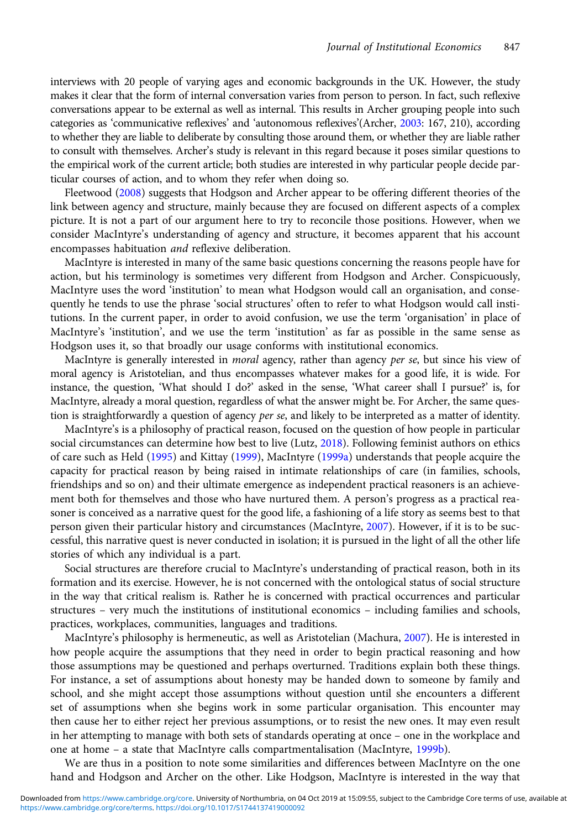interviews with 20 people of varying ages and economic backgrounds in the UK. However, the study makes it clear that the form of internal conversation varies from person to person. In fact, such reflexive conversations appear to be external as well as internal. This results in Archer grouping people into such categories as 'communicative reflexives' and 'autonomous reflexives'(Archer, [2003](#page-13-0): 167, 210), according to whether they are liable to deliberate by consulting those around them, or whether they are liable rather to consult with themselves. Archer's study is relevant in this regard because it poses similar questions to the empirical work of the current article; both studies are interested in why particular people decide particular courses of action, and to whom they refer when doing so.

Fleetwood ([2008](#page-13-0)) suggests that Hodgson and Archer appear to be offering different theories of the link between agency and structure, mainly because they are focused on different aspects of a complex picture. It is not a part of our argument here to try to reconcile those positions. However, when we consider MacIntyre's understanding of agency and structure, it becomes apparent that his account encompasses habituation and reflexive deliberation.

MacIntyre is interested in many of the same basic questions concerning the reasons people have for action, but his terminology is sometimes very different from Hodgson and Archer. Conspicuously, MacIntyre uses the word 'institution' to mean what Hodgson would call an organisation, and consequently he tends to use the phrase 'social structures' often to refer to what Hodgson would call institutions. In the current paper, in order to avoid confusion, we use the term 'organisation' in place of MacIntyre's 'institution', and we use the term 'institution' as far as possible in the same sense as Hodgson uses it, so that broadly our usage conforms with institutional economics.

MacIntyre is generally interested in *moral* agency, rather than agency *per se*, but since his view of moral agency is Aristotelian, and thus encompasses whatever makes for a good life, it is wide. For instance, the question, 'What should I do?' asked in the sense, 'What career shall I pursue?' is, for MacIntyre, already a moral question, regardless of what the answer might be. For Archer, the same question is straightforwardly a question of agency *per se*, and likely to be interpreted as a matter of identity.

MacIntyre's is a philosophy of practical reason, focused on the question of how people in particular social circumstances can determine how best to live (Lutz, [2018](#page-13-0)). Following feminist authors on ethics of care such as Held [\(1995\)](#page-13-0) and Kittay ([1999](#page-13-0)), MacIntyre [\(1999a](#page-13-0)) understands that people acquire the capacity for practical reason by being raised in intimate relationships of care (in families, schools, friendships and so on) and their ultimate emergence as independent practical reasoners is an achievement both for themselves and those who have nurtured them. A person's progress as a practical reasoner is conceived as a narrative quest for the good life, a fashioning of a life story as seems best to that person given their particular history and circumstances (MacIntyre, [2007](#page-14-0)). However, if it is to be successful, this narrative quest is never conducted in isolation; it is pursued in the light of all the other life stories of which any individual is a part.

Social structures are therefore crucial to MacIntyre's understanding of practical reason, both in its formation and its exercise. However, he is not concerned with the ontological status of social structure in the way that critical realism is. Rather he is concerned with practical occurrences and particular structures – very much the institutions of institutional economics – including families and schools, practices, workplaces, communities, languages and traditions.

MacIntyre's philosophy is hermeneutic, as well as Aristotelian (Machura, [2007](#page-13-0)). He is interested in how people acquire the assumptions that they need in order to begin practical reasoning and how those assumptions may be questioned and perhaps overturned. Traditions explain both these things. For instance, a set of assumptions about honesty may be handed down to someone by family and school, and she might accept those assumptions without question until she encounters a different set of assumptions when she begins work in some particular organisation. This encounter may then cause her to either reject her previous assumptions, or to resist the new ones. It may even result in her attempting to manage with both sets of standards operating at once – one in the workplace and one at home – a state that MacIntyre calls compartmentalisation (MacIntyre, [1999b](#page-13-0)).

We are thus in a position to note some similarities and differences between MacIntyre on the one hand and Hodgson and Archer on the other. Like Hodgson, MacIntyre is interested in the way that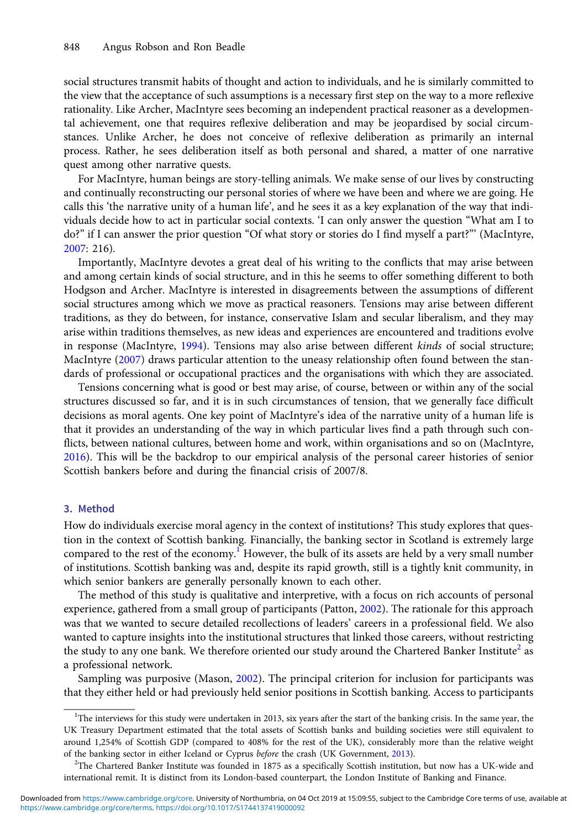social structures transmit habits of thought and action to individuals, and he is similarly committed to the view that the acceptance of such assumptions is a necessary first step on the way to a more reflexive rationality. Like Archer, MacIntyre sees becoming an independent practical reasoner as a developmental achievement, one that requires reflexive deliberation and may be jeopardised by social circumstances. Unlike Archer, he does not conceive of reflexive deliberation as primarily an internal process. Rather, he sees deliberation itself as both personal and shared, a matter of one narrative quest among other narrative quests.

For MacIntyre, human beings are story-telling animals. We make sense of our lives by constructing and continually reconstructing our personal stories of where we have been and where we are going. He calls this 'the narrative unity of a human life', and he sees it as a key explanation of the way that individuals decide how to act in particular social contexts. 'I can only answer the question "What am I to do?" if I can answer the prior question "Of what story or stories do I find myself a part?"' (MacIntyre, [2007:](#page-14-0) 216).

Importantly, MacIntyre devotes a great deal of his writing to the conflicts that may arise between and among certain kinds of social structure, and in this he seems to offer something different to both Hodgson and Archer. MacIntyre is interested in disagreements between the assumptions of different social structures among which we move as practical reasoners. Tensions may arise between different traditions, as they do between, for instance, conservative Islam and secular liberalism, and they may arise within traditions themselves, as new ideas and experiences are encountered and traditions evolve in response (MacIntyre, [1994](#page-13-0)). Tensions may also arise between different kinds of social structure; MacIntyre [\(2007\)](#page-14-0) draws particular attention to the uneasy relationship often found between the standards of professional or occupational practices and the organisations with which they are associated.

Tensions concerning what is good or best may arise, of course, between or within any of the social structures discussed so far, and it is in such circumstances of tension, that we generally face difficult decisions as moral agents. One key point of MacIntyre's idea of the narrative unity of a human life is that it provides an understanding of the way in which particular lives find a path through such conflicts, between national cultures, between home and work, within organisations and so on (MacIntyre, [2016\)](#page-14-0). This will be the backdrop to our empirical analysis of the personal career histories of senior Scottish bankers before and during the financial crisis of 2007/8.

#### 3. Method

How do individuals exercise moral agency in the context of institutions? This study explores that question in the context of Scottish banking. Financially, the banking sector in Scotland is extremely large compared to the rest of the economy.<sup>1</sup> However, the bulk of its assets are held by a very small number of institutions. Scottish banking was and, despite its rapid growth, still is a tightly knit community, in which senior bankers are generally personally known to each other.

The method of this study is qualitative and interpretive, with a focus on rich accounts of personal experience, gathered from a small group of participants (Patton, [2002\)](#page-14-0). The rationale for this approach was that we wanted to secure detailed recollections of leaders' careers in a professional field. We also wanted to capture insights into the institutional structures that linked those careers, without restricting the study to any one bank. We therefore oriented our study around the Chartered Banker Institute<sup>2</sup> as a professional network.

Sampling was purposive (Mason, [2002](#page-14-0)). The principal criterion for inclusion for participants was that they either held or had previously held senior positions in Scottish banking. Access to participants

<sup>&</sup>lt;sup>1</sup>The interviews for this study were undertaken in 2013, six years after the start of the banking crisis. In the same year, the UK Treasury Department estimated that the total assets of Scottish banks and building societies were still equivalent to around 1,254% of Scottish GDP (compared to 408% for the rest of the UK), considerably more than the relative weight of the banking sector in either Iceland or Cyprus before the crash (UK Government, [2013](#page-14-0)).

<sup>&</sup>lt;sup>2</sup>The Chartered Banker Institute was founded in 1875 as a specifically Scottish institution, but now has a UK-wide and international remit. It is distinct from its London-based counterpart, the London Institute of Banking and Finance.

[https://www.cambridge.org/core/terms.](https://www.cambridge.org/core/terms) <https://doi.org/10.1017/S1744137419000092> Downloaded from [https://www.cambridge.org/core.](https://www.cambridge.org/core) University of Northumbria, on 04 Oct 2019 at 15:09:55, subject to the Cambridge Core terms of use, available at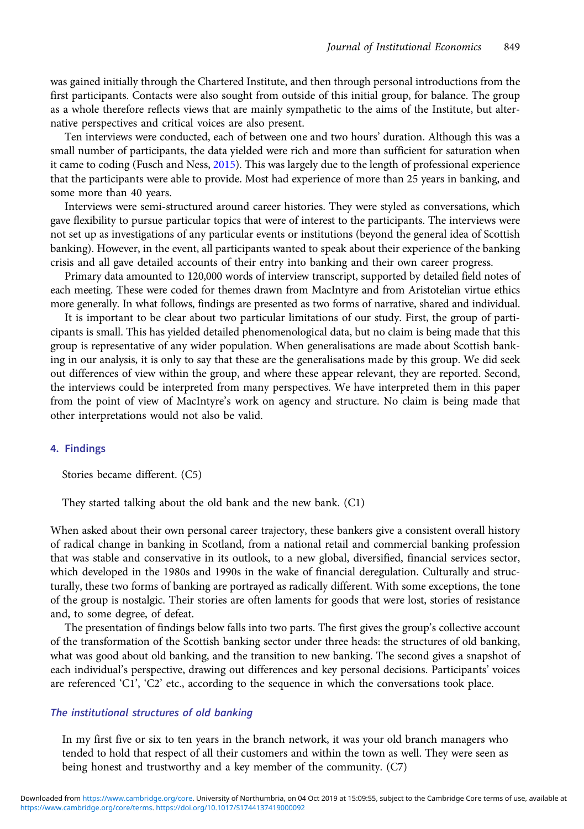was gained initially through the Chartered Institute, and then through personal introductions from the first participants. Contacts were also sought from outside of this initial group, for balance. The group as a whole therefore reflects views that are mainly sympathetic to the aims of the Institute, but alternative perspectives and critical voices are also present.

Ten interviews were conducted, each of between one and two hours' duration. Although this was a small number of participants, the data yielded were rich and more than sufficient for saturation when it came to coding (Fusch and Ness, [2015\)](#page-13-0). This was largely due to the length of professional experience that the participants were able to provide. Most had experience of more than 25 years in banking, and some more than 40 years.

Interviews were semi-structured around career histories. They were styled as conversations, which gave flexibility to pursue particular topics that were of interest to the participants. The interviews were not set up as investigations of any particular events or institutions (beyond the general idea of Scottish banking). However, in the event, all participants wanted to speak about their experience of the banking crisis and all gave detailed accounts of their entry into banking and their own career progress.

Primary data amounted to 120,000 words of interview transcript, supported by detailed field notes of each meeting. These were coded for themes drawn from MacIntyre and from Aristotelian virtue ethics more generally. In what follows, findings are presented as two forms of narrative, shared and individual.

It is important to be clear about two particular limitations of our study. First, the group of participants is small. This has yielded detailed phenomenological data, but no claim is being made that this group is representative of any wider population. When generalisations are made about Scottish banking in our analysis, it is only to say that these are the generalisations made by this group. We did seek out differences of view within the group, and where these appear relevant, they are reported. Second, the interviews could be interpreted from many perspectives. We have interpreted them in this paper from the point of view of MacIntyre's work on agency and structure. No claim is being made that other interpretations would not also be valid.

## 4. Findings

Stories became different. (C5)

They started talking about the old bank and the new bank. (C1)

When asked about their own personal career trajectory, these bankers give a consistent overall history of radical change in banking in Scotland, from a national retail and commercial banking profession that was stable and conservative in its outlook, to a new global, diversified, financial services sector, which developed in the 1980s and 1990s in the wake of financial deregulation. Culturally and structurally, these two forms of banking are portrayed as radically different. With some exceptions, the tone of the group is nostalgic. Their stories are often laments for goods that were lost, stories of resistance and, to some degree, of defeat.

The presentation of findings below falls into two parts. The first gives the group's collective account of the transformation of the Scottish banking sector under three heads: the structures of old banking, what was good about old banking, and the transition to new banking. The second gives a snapshot of each individual's perspective, drawing out differences and key personal decisions. Participants' voices are referenced 'C1', 'C2' etc., according to the sequence in which the conversations took place.

#### The institutional structures of old banking

In my first five or six to ten years in the branch network, it was your old branch managers who tended to hold that respect of all their customers and within the town as well. They were seen as being honest and trustworthy and a key member of the community. (C7)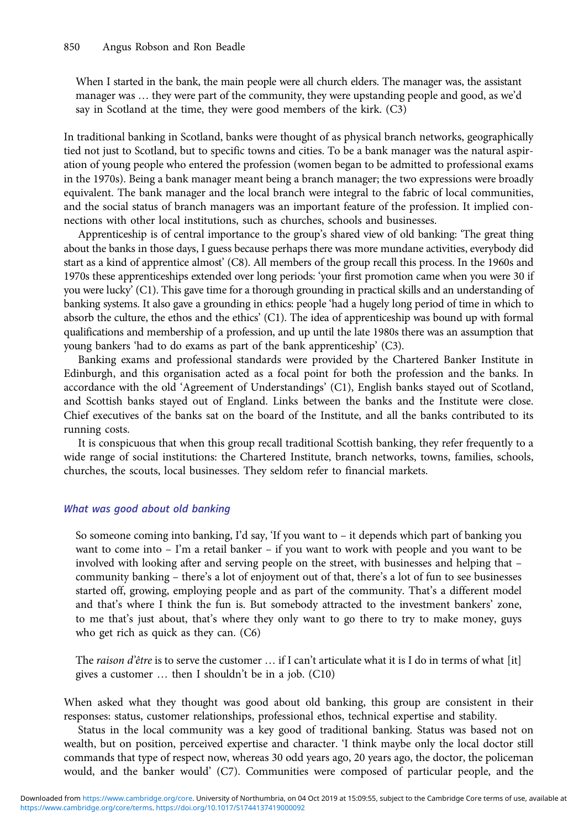When I started in the bank, the main people were all church elders. The manager was, the assistant manager was … they were part of the community, they were upstanding people and good, as we'd say in Scotland at the time, they were good members of the kirk. (C3)

In traditional banking in Scotland, banks were thought of as physical branch networks, geographically tied not just to Scotland, but to specific towns and cities. To be a bank manager was the natural aspiration of young people who entered the profession (women began to be admitted to professional exams in the 1970s). Being a bank manager meant being a branch manager; the two expressions were broadly equivalent. The bank manager and the local branch were integral to the fabric of local communities, and the social status of branch managers was an important feature of the profession. It implied connections with other local institutions, such as churches, schools and businesses.

Apprenticeship is of central importance to the group's shared view of old banking: 'The great thing about the banks in those days, I guess because perhaps there was more mundane activities, everybody did start as a kind of apprentice almost' (C8). All members of the group recall this process. In the 1960s and 1970s these apprenticeships extended over long periods: 'your first promotion came when you were 30 if you were lucky' (C1). This gave time for a thorough grounding in practical skills and an understanding of banking systems. It also gave a grounding in ethics: people 'had a hugely long period of time in which to absorb the culture, the ethos and the ethics' (C1). The idea of apprenticeship was bound up with formal qualifications and membership of a profession, and up until the late 1980s there was an assumption that young bankers 'had to do exams as part of the bank apprenticeship' (C3).

Banking exams and professional standards were provided by the Chartered Banker Institute in Edinburgh, and this organisation acted as a focal point for both the profession and the banks. In accordance with the old 'Agreement of Understandings' (C1), English banks stayed out of Scotland, and Scottish banks stayed out of England. Links between the banks and the Institute were close. Chief executives of the banks sat on the board of the Institute, and all the banks contributed to its running costs.

It is conspicuous that when this group recall traditional Scottish banking, they refer frequently to a wide range of social institutions: the Chartered Institute, branch networks, towns, families, schools, churches, the scouts, local businesses. They seldom refer to financial markets.

## What was good about old banking

So someone coming into banking, I'd say, 'If you want to – it depends which part of banking you want to come into – I'm a retail banker – if you want to work with people and you want to be involved with looking after and serving people on the street, with businesses and helping that – community banking – there's a lot of enjoyment out of that, there's a lot of fun to see businesses started off, growing, employing people and as part of the community. That's a different model and that's where I think the fun is. But somebody attracted to the investment bankers' zone, to me that's just about, that's where they only want to go there to try to make money, guys who get rich as quick as they can. (C6)

The raison d'être is to serve the customer ... if I can't articulate what it is I do in terms of what [it] gives a customer … then I shouldn't be in a job. (C10)

When asked what they thought was good about old banking, this group are consistent in their responses: status, customer relationships, professional ethos, technical expertise and stability.

Status in the local community was a key good of traditional banking. Status was based not on wealth, but on position, perceived expertise and character. 'I think maybe only the local doctor still commands that type of respect now, whereas 30 odd years ago, 20 years ago, the doctor, the policeman would, and the banker would' (C7). Communities were composed of particular people, and the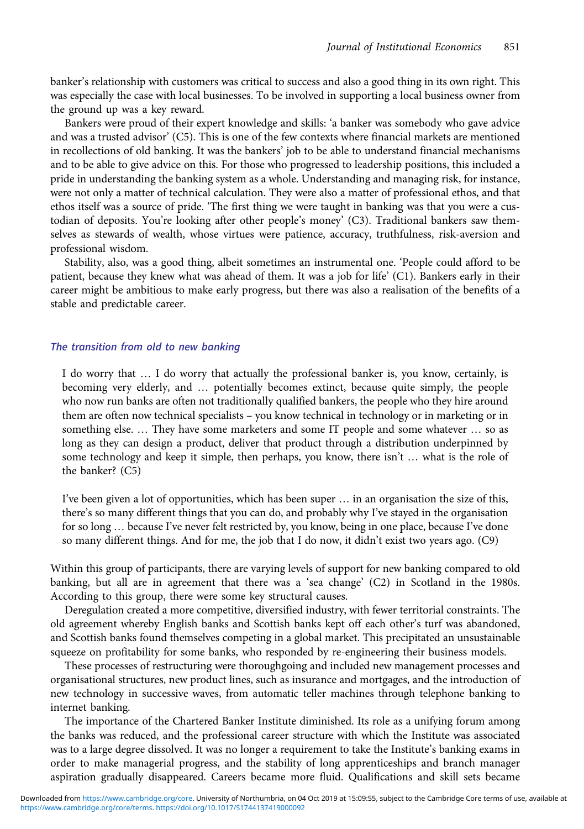banker's relationship with customers was critical to success and also a good thing in its own right. This was especially the case with local businesses. To be involved in supporting a local business owner from the ground up was a key reward.

Bankers were proud of their expert knowledge and skills: 'a banker was somebody who gave advice and was a trusted advisor' (C5). This is one of the few contexts where financial markets are mentioned in recollections of old banking. It was the bankers' job to be able to understand financial mechanisms and to be able to give advice on this. For those who progressed to leadership positions, this included a pride in understanding the banking system as a whole. Understanding and managing risk, for instance, were not only a matter of technical calculation. They were also a matter of professional ethos, and that ethos itself was a source of pride. 'The first thing we were taught in banking was that you were a custodian of deposits. You're looking after other people's money' (C3). Traditional bankers saw themselves as stewards of wealth, whose virtues were patience, accuracy, truthfulness, risk-aversion and professional wisdom.

Stability, also, was a good thing, albeit sometimes an instrumental one. 'People could afford to be patient, because they knew what was ahead of them. It was a job for life' (C1). Bankers early in their career might be ambitious to make early progress, but there was also a realisation of the benefits of a stable and predictable career.

## The transition from old to new banking

I do worry that … I do worry that actually the professional banker is, you know, certainly, is becoming very elderly, and … potentially becomes extinct, because quite simply, the people who now run banks are often not traditionally qualified bankers, the people who they hire around them are often now technical specialists – you know technical in technology or in marketing or in something else. ... They have some marketers and some IT people and some whatever ... so as long as they can design a product, deliver that product through a distribution underpinned by some technology and keep it simple, then perhaps, you know, there isn't … what is the role of the banker? (C5)

I've been given a lot of opportunities, which has been super … in an organisation the size of this, there's so many different things that you can do, and probably why I've stayed in the organisation for so long … because I've never felt restricted by, you know, being in one place, because I've done so many different things. And for me, the job that I do now, it didn't exist two years ago. (C9)

Within this group of participants, there are varying levels of support for new banking compared to old banking, but all are in agreement that there was a 'sea change' (C2) in Scotland in the 1980s. According to this group, there were some key structural causes.

Deregulation created a more competitive, diversified industry, with fewer territorial constraints. The old agreement whereby English banks and Scottish banks kept off each other's turf was abandoned, and Scottish banks found themselves competing in a global market. This precipitated an unsustainable squeeze on profitability for some banks, who responded by re-engineering their business models.

These processes of restructuring were thoroughgoing and included new management processes and organisational structures, new product lines, such as insurance and mortgages, and the introduction of new technology in successive waves, from automatic teller machines through telephone banking to internet banking.

The importance of the Chartered Banker Institute diminished. Its role as a unifying forum among the banks was reduced, and the professional career structure with which the Institute was associated was to a large degree dissolved. It was no longer a requirement to take the Institute's banking exams in order to make managerial progress, and the stability of long apprenticeships and branch manager aspiration gradually disappeared. Careers became more fluid. Qualifications and skill sets became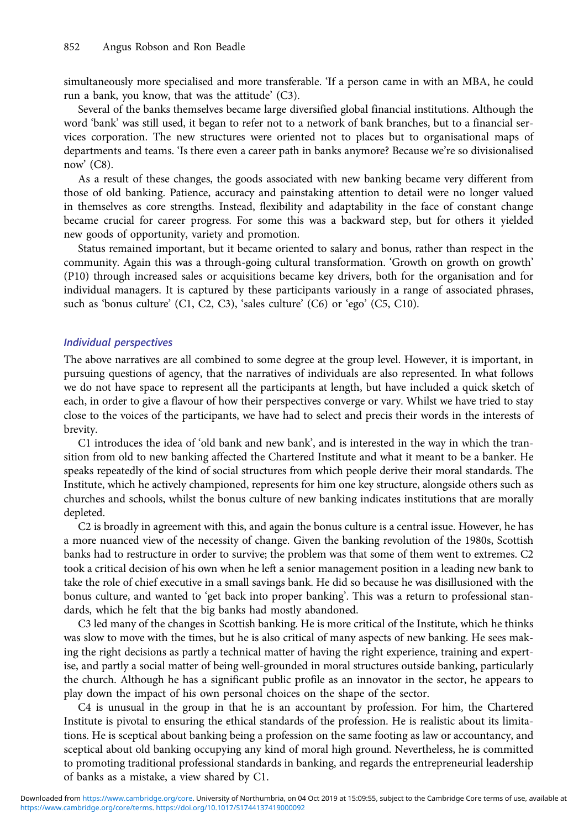simultaneously more specialised and more transferable. 'If a person came in with an MBA, he could run a bank, you know, that was the attitude' (C3).

Several of the banks themselves became large diversified global financial institutions. Although the word 'bank' was still used, it began to refer not to a network of bank branches, but to a financial services corporation. The new structures were oriented not to places but to organisational maps of departments and teams. 'Is there even a career path in banks anymore? Because we're so divisionalised now' (C8).

As a result of these changes, the goods associated with new banking became very different from those of old banking. Patience, accuracy and painstaking attention to detail were no longer valued in themselves as core strengths. Instead, flexibility and adaptability in the face of constant change became crucial for career progress. For some this was a backward step, but for others it yielded new goods of opportunity, variety and promotion.

Status remained important, but it became oriented to salary and bonus, rather than respect in the community. Again this was a through-going cultural transformation. 'Growth on growth on growth' (P10) through increased sales or acquisitions became key drivers, both for the organisation and for individual managers. It is captured by these participants variously in a range of associated phrases, such as 'bonus culture' (C1, C2, C3), 'sales culture' (C6) or 'ego' (C5, C10).

## Individual perspectives

The above narratives are all combined to some degree at the group level. However, it is important, in pursuing questions of agency, that the narratives of individuals are also represented. In what follows we do not have space to represent all the participants at length, but have included a quick sketch of each, in order to give a flavour of how their perspectives converge or vary. Whilst we have tried to stay close to the voices of the participants, we have had to select and precis their words in the interests of brevity.

C1 introduces the idea of 'old bank and new bank', and is interested in the way in which the transition from old to new banking affected the Chartered Institute and what it meant to be a banker. He speaks repeatedly of the kind of social structures from which people derive their moral standards. The Institute, which he actively championed, represents for him one key structure, alongside others such as churches and schools, whilst the bonus culture of new banking indicates institutions that are morally depleted.

C2 is broadly in agreement with this, and again the bonus culture is a central issue. However, he has a more nuanced view of the necessity of change. Given the banking revolution of the 1980s, Scottish banks had to restructure in order to survive; the problem was that some of them went to extremes. C2 took a critical decision of his own when he left a senior management position in a leading new bank to take the role of chief executive in a small savings bank. He did so because he was disillusioned with the bonus culture, and wanted to 'get back into proper banking'. This was a return to professional standards, which he felt that the big banks had mostly abandoned.

C3 led many of the changes in Scottish banking. He is more critical of the Institute, which he thinks was slow to move with the times, but he is also critical of many aspects of new banking. He sees making the right decisions as partly a technical matter of having the right experience, training and expertise, and partly a social matter of being well-grounded in moral structures outside banking, particularly the church. Although he has a significant public profile as an innovator in the sector, he appears to play down the impact of his own personal choices on the shape of the sector.

C4 is unusual in the group in that he is an accountant by profession. For him, the Chartered Institute is pivotal to ensuring the ethical standards of the profession. He is realistic about its limitations. He is sceptical about banking being a profession on the same footing as law or accountancy, and sceptical about old banking occupying any kind of moral high ground. Nevertheless, he is committed to promoting traditional professional standards in banking, and regards the entrepreneurial leadership of banks as a mistake, a view shared by C1.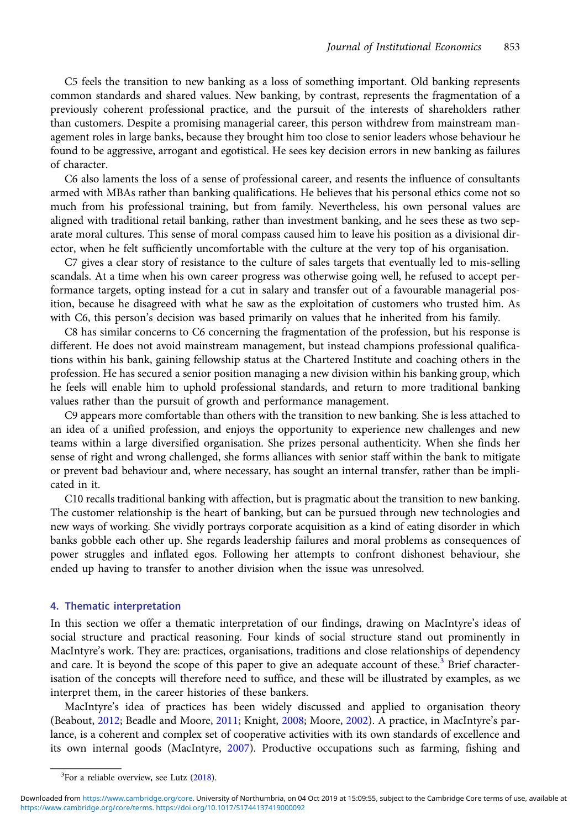C5 feels the transition to new banking as a loss of something important. Old banking represents common standards and shared values. New banking, by contrast, represents the fragmentation of a previously coherent professional practice, and the pursuit of the interests of shareholders rather than customers. Despite a promising managerial career, this person withdrew from mainstream management roles in large banks, because they brought him too close to senior leaders whose behaviour he found to be aggressive, arrogant and egotistical. He sees key decision errors in new banking as failures of character.

C6 also laments the loss of a sense of professional career, and resents the influence of consultants armed with MBAs rather than banking qualifications. He believes that his personal ethics come not so much from his professional training, but from family. Nevertheless, his own personal values are aligned with traditional retail banking, rather than investment banking, and he sees these as two separate moral cultures. This sense of moral compass caused him to leave his position as a divisional director, when he felt sufficiently uncomfortable with the culture at the very top of his organisation.

C7 gives a clear story of resistance to the culture of sales targets that eventually led to mis-selling scandals. At a time when his own career progress was otherwise going well, he refused to accept performance targets, opting instead for a cut in salary and transfer out of a favourable managerial position, because he disagreed with what he saw as the exploitation of customers who trusted him. As with C6, this person's decision was based primarily on values that he inherited from his family.

C8 has similar concerns to C6 concerning the fragmentation of the profession, but his response is different. He does not avoid mainstream management, but instead champions professional qualifications within his bank, gaining fellowship status at the Chartered Institute and coaching others in the profession. He has secured a senior position managing a new division within his banking group, which he feels will enable him to uphold professional standards, and return to more traditional banking values rather than the pursuit of growth and performance management.

C9 appears more comfortable than others with the transition to new banking. She is less attached to an idea of a unified profession, and enjoys the opportunity to experience new challenges and new teams within a large diversified organisation. She prizes personal authenticity. When she finds her sense of right and wrong challenged, she forms alliances with senior staff within the bank to mitigate or prevent bad behaviour and, where necessary, has sought an internal transfer, rather than be implicated in it.

C10 recalls traditional banking with affection, but is pragmatic about the transition to new banking. The customer relationship is the heart of banking, but can be pursued through new technologies and new ways of working. She vividly portrays corporate acquisition as a kind of eating disorder in which banks gobble each other up. She regards leadership failures and moral problems as consequences of power struggles and inflated egos. Following her attempts to confront dishonest behaviour, she ended up having to transfer to another division when the issue was unresolved.

## 4. Thematic interpretation

In this section we offer a thematic interpretation of our findings, drawing on MacIntyre's ideas of social structure and practical reasoning. Four kinds of social structure stand out prominently in MacIntyre's work. They are: practices, organisations, traditions and close relationships of dependency and care. It is beyond the scope of this paper to give an adequate account of these.<sup>3</sup> Brief characterisation of the concepts will therefore need to suffice, and these will be illustrated by examples, as we interpret them, in the career histories of these bankers.

MacIntyre's idea of practices has been widely discussed and applied to organisation theory (Beabout, [2012](#page-13-0); Beadle and Moore, [2011](#page-13-0); Knight, [2008;](#page-13-0) Moore, [2002](#page-14-0)). A practice, in MacIntyre's parlance, is a coherent and complex set of cooperative activities with its own standards of excellence and its own internal goods (MacIntyre, [2007\)](#page-14-0). Productive occupations such as farming, fishing and

 ${}^{3}$ For a reliable overview, see Lutz [\(2018\)](#page-13-0).

[https://www.cambridge.org/core/terms.](https://www.cambridge.org/core/terms) <https://doi.org/10.1017/S1744137419000092> Downloaded from [https://www.cambridge.org/core.](https://www.cambridge.org/core) University of Northumbria, on 04 Oct 2019 at 15:09:55, subject to the Cambridge Core terms of use, available at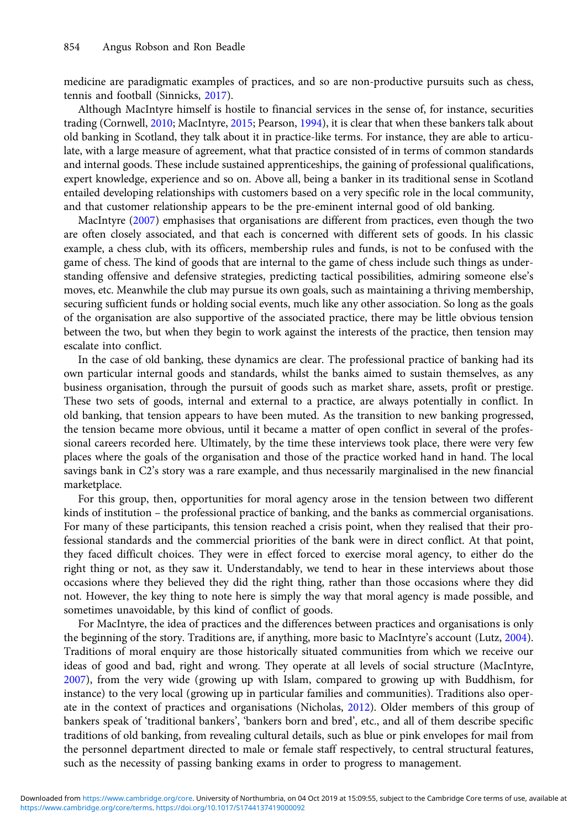medicine are paradigmatic examples of practices, and so are non-productive pursuits such as chess, tennis and football (Sinnicks, [2017\)](#page-14-0).

Although MacIntyre himself is hostile to financial services in the sense of, for instance, securities trading (Cornwell, [2010;](#page-13-0) MacIntyre, [2015;](#page-14-0) Pearson, [1994](#page-14-0)), it is clear that when these bankers talk about old banking in Scotland, they talk about it in practice-like terms. For instance, they are able to articulate, with a large measure of agreement, what that practice consisted of in terms of common standards and internal goods. These include sustained apprenticeships, the gaining of professional qualifications, expert knowledge, experience and so on. Above all, being a banker in its traditional sense in Scotland entailed developing relationships with customers based on a very specific role in the local community, and that customer relationship appears to be the pre-eminent internal good of old banking.

MacIntyre [\(2007](#page-14-0)) emphasises that organisations are different from practices, even though the two are often closely associated, and that each is concerned with different sets of goods. In his classic example, a chess club, with its officers, membership rules and funds, is not to be confused with the game of chess. The kind of goods that are internal to the game of chess include such things as understanding offensive and defensive strategies, predicting tactical possibilities, admiring someone else's moves, etc. Meanwhile the club may pursue its own goals, such as maintaining a thriving membership, securing sufficient funds or holding social events, much like any other association. So long as the goals of the organisation are also supportive of the associated practice, there may be little obvious tension between the two, but when they begin to work against the interests of the practice, then tension may escalate into conflict.

In the case of old banking, these dynamics are clear. The professional practice of banking had its own particular internal goods and standards, whilst the banks aimed to sustain themselves, as any business organisation, through the pursuit of goods such as market share, assets, profit or prestige. These two sets of goods, internal and external to a practice, are always potentially in conflict. In old banking, that tension appears to have been muted. As the transition to new banking progressed, the tension became more obvious, until it became a matter of open conflict in several of the professional careers recorded here. Ultimately, by the time these interviews took place, there were very few places where the goals of the organisation and those of the practice worked hand in hand. The local savings bank in C2's story was a rare example, and thus necessarily marginalised in the new financial marketplace.

For this group, then, opportunities for moral agency arose in the tension between two different kinds of institution – the professional practice of banking, and the banks as commercial organisations. For many of these participants, this tension reached a crisis point, when they realised that their professional standards and the commercial priorities of the bank were in direct conflict. At that point, they faced difficult choices. They were in effect forced to exercise moral agency, to either do the right thing or not, as they saw it. Understandably, we tend to hear in these interviews about those occasions where they believed they did the right thing, rather than those occasions where they did not. However, the key thing to note here is simply the way that moral agency is made possible, and sometimes unavoidable, by this kind of conflict of goods.

For MacIntyre, the idea of practices and the differences between practices and organisations is only the beginning of the story. Traditions are, if anything, more basic to MacIntyre's account (Lutz, [2004](#page-13-0)). Traditions of moral enquiry are those historically situated communities from which we receive our ideas of good and bad, right and wrong. They operate at all levels of social structure (MacIntyre, [2007\)](#page-14-0), from the very wide (growing up with Islam, compared to growing up with Buddhism, for instance) to the very local (growing up in particular families and communities). Traditions also operate in the context of practices and organisations (Nicholas, [2012\)](#page-14-0). Older members of this group of bankers speak of 'traditional bankers', 'bankers born and bred', etc., and all of them describe specific traditions of old banking, from revealing cultural details, such as blue or pink envelopes for mail from the personnel department directed to male or female staff respectively, to central structural features, such as the necessity of passing banking exams in order to progress to management.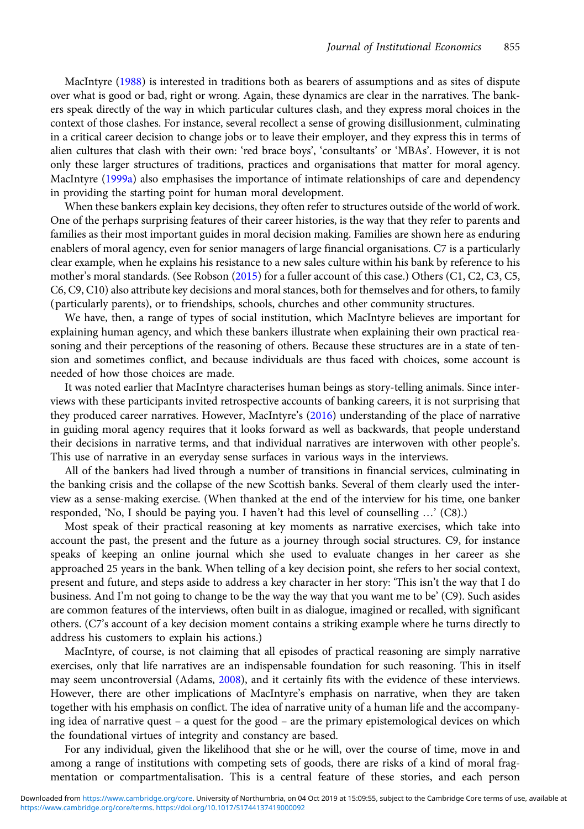MacIntyre [\(1988\)](#page-13-0) is interested in traditions both as bearers of assumptions and as sites of dispute over what is good or bad, right or wrong. Again, these dynamics are clear in the narratives. The bankers speak directly of the way in which particular cultures clash, and they express moral choices in the context of those clashes. For instance, several recollect a sense of growing disillusionment, culminating in a critical career decision to change jobs or to leave their employer, and they express this in terms of alien cultures that clash with their own: 'red brace boys', 'consultants' or 'MBAs'. However, it is not only these larger structures of traditions, practices and organisations that matter for moral agency. MacIntyre [\(1999a](#page-13-0)) also emphasises the importance of intimate relationships of care and dependency in providing the starting point for human moral development.

When these bankers explain key decisions, they often refer to structures outside of the world of work. One of the perhaps surprising features of their career histories, is the way that they refer to parents and families as their most important guides in moral decision making. Families are shown here as enduring enablers of moral agency, even for senior managers of large financial organisations. C7 is a particularly clear example, when he explains his resistance to a new sales culture within his bank by reference to his mother's moral standards. (See Robson ([2015\)](#page-14-0) for a fuller account of this case.) Others (C1, C2, C3, C5, C6, C9, C10) also attribute key decisions and moral stances, both for themselves and for others, to family (particularly parents), or to friendships, schools, churches and other community structures.

We have, then, a range of types of social institution, which MacIntyre believes are important for explaining human agency, and which these bankers illustrate when explaining their own practical reasoning and their perceptions of the reasoning of others. Because these structures are in a state of tension and sometimes conflict, and because individuals are thus faced with choices, some account is needed of how those choices are made.

It was noted earlier that MacIntyre characterises human beings as story-telling animals. Since interviews with these participants invited retrospective accounts of banking careers, it is not surprising that they produced career narratives. However, MacIntyre's [\(2016\)](#page-14-0) understanding of the place of narrative in guiding moral agency requires that it looks forward as well as backwards, that people understand their decisions in narrative terms, and that individual narratives are interwoven with other people's. This use of narrative in an everyday sense surfaces in various ways in the interviews.

All of the bankers had lived through a number of transitions in financial services, culminating in the banking crisis and the collapse of the new Scottish banks. Several of them clearly used the interview as a sense-making exercise. (When thanked at the end of the interview for his time, one banker responded, 'No, I should be paying you. I haven't had this level of counselling …' (C8).)

Most speak of their practical reasoning at key moments as narrative exercises, which take into account the past, the present and the future as a journey through social structures. C9, for instance speaks of keeping an online journal which she used to evaluate changes in her career as she approached 25 years in the bank. When telling of a key decision point, she refers to her social context, present and future, and steps aside to address a key character in her story: 'This isn't the way that I do business. And I'm not going to change to be the way the way that you want me to be' (C9). Such asides are common features of the interviews, often built in as dialogue, imagined or recalled, with significant others. (C7's account of a key decision moment contains a striking example where he turns directly to address his customers to explain his actions.)

MacIntyre, of course, is not claiming that all episodes of practical reasoning are simply narrative exercises, only that life narratives are an indispensable foundation for such reasoning. This in itself may seem uncontroversial (Adams, [2008](#page-13-0)), and it certainly fits with the evidence of these interviews. However, there are other implications of MacIntyre's emphasis on narrative, when they are taken together with his emphasis on conflict. The idea of narrative unity of a human life and the accompanying idea of narrative quest – a quest for the good – are the primary epistemological devices on which the foundational virtues of integrity and constancy are based.

For any individual, given the likelihood that she or he will, over the course of time, move in and among a range of institutions with competing sets of goods, there are risks of a kind of moral fragmentation or compartmentalisation. This is a central feature of these stories, and each person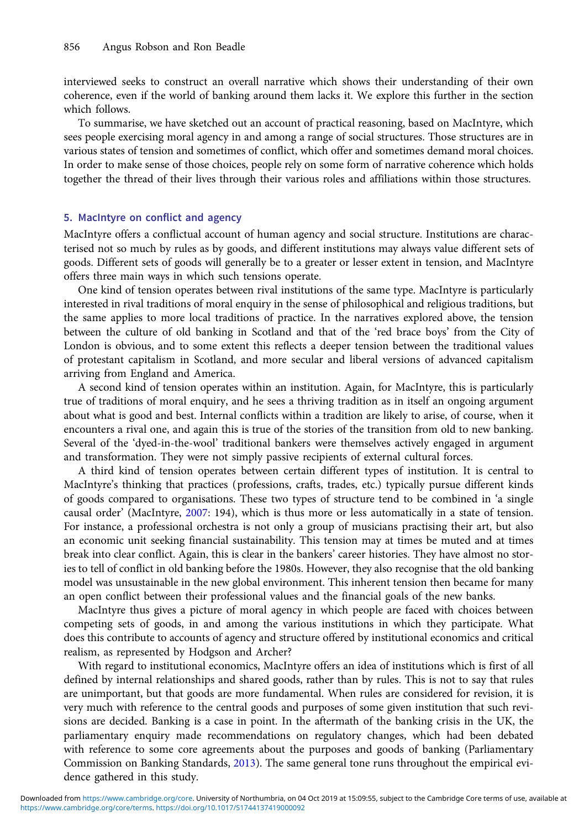interviewed seeks to construct an overall narrative which shows their understanding of their own coherence, even if the world of banking around them lacks it. We explore this further in the section which follows.

To summarise, we have sketched out an account of practical reasoning, based on MacIntyre, which sees people exercising moral agency in and among a range of social structures. Those structures are in various states of tension and sometimes of conflict, which offer and sometimes demand moral choices. In order to make sense of those choices, people rely on some form of narrative coherence which holds together the thread of their lives through their various roles and affiliations within those structures.

## 5. MacIntyre on conflict and agency

MacIntyre offers a conflictual account of human agency and social structure. Institutions are characterised not so much by rules as by goods, and different institutions may always value different sets of goods. Different sets of goods will generally be to a greater or lesser extent in tension, and MacIntyre offers three main ways in which such tensions operate.

One kind of tension operates between rival institutions of the same type. MacIntyre is particularly interested in rival traditions of moral enquiry in the sense of philosophical and religious traditions, but the same applies to more local traditions of practice. In the narratives explored above, the tension between the culture of old banking in Scotland and that of the 'red brace boys' from the City of London is obvious, and to some extent this reflects a deeper tension between the traditional values of protestant capitalism in Scotland, and more secular and liberal versions of advanced capitalism arriving from England and America.

A second kind of tension operates within an institution. Again, for MacIntyre, this is particularly true of traditions of moral enquiry, and he sees a thriving tradition as in itself an ongoing argument about what is good and best. Internal conflicts within a tradition are likely to arise, of course, when it encounters a rival one, and again this is true of the stories of the transition from old to new banking. Several of the 'dyed-in-the-wool' traditional bankers were themselves actively engaged in argument and transformation. They were not simply passive recipients of external cultural forces.

A third kind of tension operates between certain different types of institution. It is central to MacIntyre's thinking that practices (professions, crafts, trades, etc.) typically pursue different kinds of goods compared to organisations. These two types of structure tend to be combined in 'a single causal order' (MacIntyre, [2007:](#page-14-0) 194), which is thus more or less automatically in a state of tension. For instance, a professional orchestra is not only a group of musicians practising their art, but also an economic unit seeking financial sustainability. This tension may at times be muted and at times break into clear conflict. Again, this is clear in the bankers' career histories. They have almost no stories to tell of conflict in old banking before the 1980s. However, they also recognise that the old banking model was unsustainable in the new global environment. This inherent tension then became for many an open conflict between their professional values and the financial goals of the new banks.

MacIntyre thus gives a picture of moral agency in which people are faced with choices between competing sets of goods, in and among the various institutions in which they participate. What does this contribute to accounts of agency and structure offered by institutional economics and critical realism, as represented by Hodgson and Archer?

With regard to institutional economics, MacIntyre offers an idea of institutions which is first of all defined by internal relationships and shared goods, rather than by rules. This is not to say that rules are unimportant, but that goods are more fundamental. When rules are considered for revision, it is very much with reference to the central goods and purposes of some given institution that such revisions are decided. Banking is a case in point. In the aftermath of the banking crisis in the UK, the parliamentary enquiry made recommendations on regulatory changes, which had been debated with reference to some core agreements about the purposes and goods of banking (Parliamentary Commission on Banking Standards, [2013\)](#page-14-0). The same general tone runs throughout the empirical evidence gathered in this study.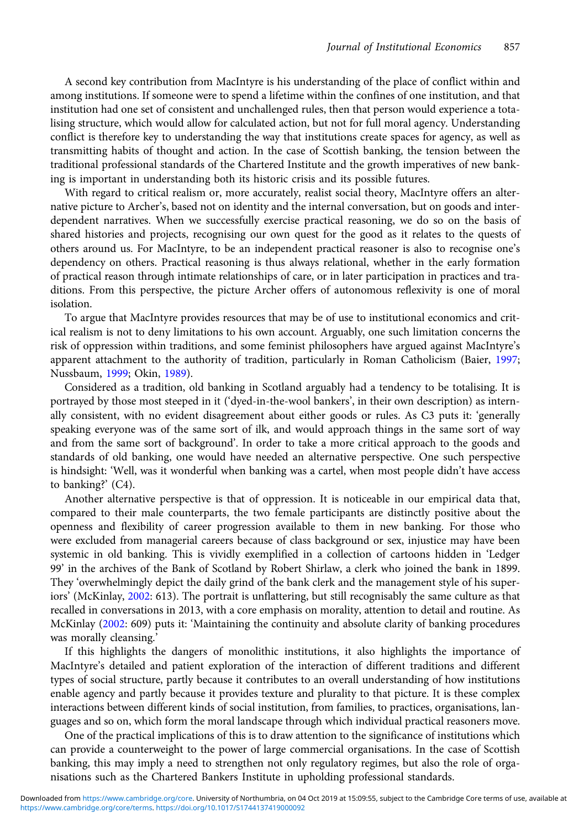A second key contribution from MacIntyre is his understanding of the place of conflict within and among institutions. If someone were to spend a lifetime within the confines of one institution, and that institution had one set of consistent and unchallenged rules, then that person would experience a totalising structure, which would allow for calculated action, but not for full moral agency. Understanding conflict is therefore key to understanding the way that institutions create spaces for agency, as well as transmitting habits of thought and action. In the case of Scottish banking, the tension between the traditional professional standards of the Chartered Institute and the growth imperatives of new banking is important in understanding both its historic crisis and its possible futures.

With regard to critical realism or, more accurately, realist social theory, MacIntyre offers an alternative picture to Archer's, based not on identity and the internal conversation, but on goods and interdependent narratives. When we successfully exercise practical reasoning, we do so on the basis of shared histories and projects, recognising our own quest for the good as it relates to the quests of others around us. For MacIntyre, to be an independent practical reasoner is also to recognise one's dependency on others. Practical reasoning is thus always relational, whether in the early formation of practical reason through intimate relationships of care, or in later participation in practices and traditions. From this perspective, the picture Archer offers of autonomous reflexivity is one of moral isolation.

To argue that MacIntyre provides resources that may be of use to institutional economics and critical realism is not to deny limitations to his own account. Arguably, one such limitation concerns the risk of oppression within traditions, and some feminist philosophers have argued against MacIntyre's apparent attachment to the authority of tradition, particularly in Roman Catholicism (Baier, [1997](#page-13-0); Nussbaum, [1999](#page-14-0); Okin, [1989](#page-14-0)).

Considered as a tradition, old banking in Scotland arguably had a tendency to be totalising. It is portrayed by those most steeped in it ('dyed-in-the-wool bankers', in their own description) as internally consistent, with no evident disagreement about either goods or rules. As C3 puts it: 'generally speaking everyone was of the same sort of ilk, and would approach things in the same sort of way and from the same sort of background'. In order to take a more critical approach to the goods and standards of old banking, one would have needed an alternative perspective. One such perspective is hindsight: 'Well, was it wonderful when banking was a cartel, when most people didn't have access to banking?' (C4).

Another alternative perspective is that of oppression. It is noticeable in our empirical data that, compared to their male counterparts, the two female participants are distinctly positive about the openness and flexibility of career progression available to them in new banking. For those who were excluded from managerial careers because of class background or sex, injustice may have been systemic in old banking. This is vividly exemplified in a collection of cartoons hidden in 'Ledger 99' in the archives of the Bank of Scotland by Robert Shirlaw, a clerk who joined the bank in 1899. They 'overwhelmingly depict the daily grind of the bank clerk and the management style of his superiors' (McKinlay, [2002:](#page-14-0) 613). The portrait is unflattering, but still recognisably the same culture as that recalled in conversations in 2013, with a core emphasis on morality, attention to detail and routine. As McKinlay ([2002:](#page-14-0) 609) puts it: 'Maintaining the continuity and absolute clarity of banking procedures was morally cleansing.'

If this highlights the dangers of monolithic institutions, it also highlights the importance of MacIntyre's detailed and patient exploration of the interaction of different traditions and different types of social structure, partly because it contributes to an overall understanding of how institutions enable agency and partly because it provides texture and plurality to that picture. It is these complex interactions between different kinds of social institution, from families, to practices, organisations, languages and so on, which form the moral landscape through which individual practical reasoners move.

One of the practical implications of this is to draw attention to the significance of institutions which can provide a counterweight to the power of large commercial organisations. In the case of Scottish banking, this may imply a need to strengthen not only regulatory regimes, but also the role of organisations such as the Chartered Bankers Institute in upholding professional standards.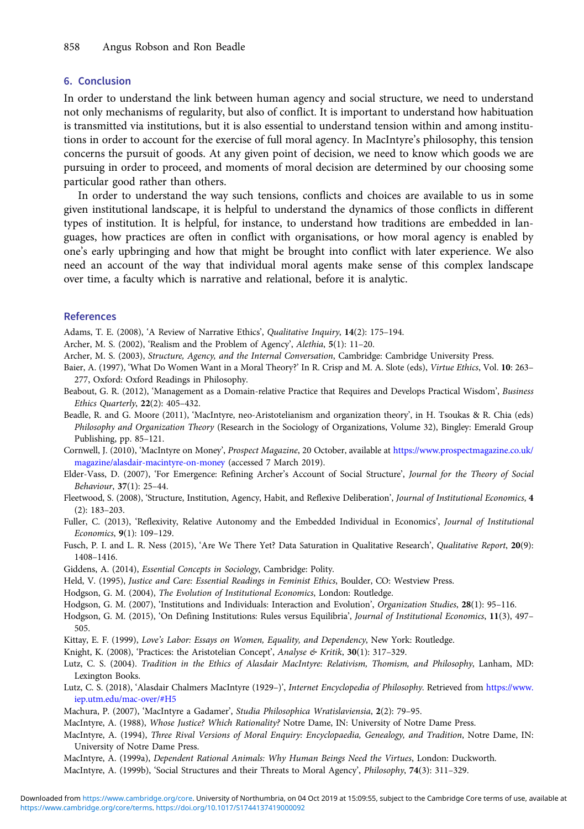# <span id="page-13-0"></span>6. Conclusion

In order to understand the link between human agency and social structure, we need to understand not only mechanisms of regularity, but also of conflict. It is important to understand how habituation is transmitted via institutions, but it is also essential to understand tension within and among institutions in order to account for the exercise of full moral agency. In MacIntyre's philosophy, this tension concerns the pursuit of goods. At any given point of decision, we need to know which goods we are pursuing in order to proceed, and moments of moral decision are determined by our choosing some particular good rather than others.

In order to understand the way such tensions, conflicts and choices are available to us in some given institutional landscape, it is helpful to understand the dynamics of those conflicts in different types of institution. It is helpful, for instance, to understand how traditions are embedded in languages, how practices are often in conflict with organisations, or how moral agency is enabled by one's early upbringing and how that might be brought into conflict with later experience. We also need an account of the way that individual moral agents make sense of this complex landscape over time, a faculty which is narrative and relational, before it is analytic.

# References

Adams, T. E. (2008), 'A Review of Narrative Ethics', Qualitative Inquiry, 14(2): 175–194.

Archer, M. S. (2002), 'Realism and the Problem of Agency', Alethia, 5(1): 11–20.

Archer, M. S. (2003), Structure, Agency, and the Internal Conversation, Cambridge: Cambridge University Press.

Baier, A. (1997), 'What Do Women Want in a Moral Theory?' In R. Crisp and M. A. Slote (eds), Virtue Ethics, Vol. 10: 263-277, Oxford: Oxford Readings in Philosophy.

Beabout, G. R. (2012), 'Management as a Domain-relative Practice that Requires and Develops Practical Wisdom', Business Ethics Quarterly, 22(2): 405–432.

Beadle, R. and G. Moore (2011), 'MacIntyre, neo-Aristotelianism and organization theory', in H. Tsoukas & R. Chia (eds) Philosophy and Organization Theory (Research in the Sociology of Organizations, Volume 32), Bingley: Emerald Group Publishing, pp. 85–121.

Cornwell, J. (2010), 'MacIntyre on Money', Prospect Magazine, 20 October, available at [https://www.prospectmagazine.co.uk/](https://www.prospectmagazine.co.uk/magazine/alasdair-macintyre-on-money) [magazine/alasdair-macintyre-on-money](https://www.prospectmagazine.co.uk/magazine/alasdair-macintyre-on-money) (accessed 7 March 2019).

Elder-Vass, D. (2007), 'For Emergence: Refining Archer's Account of Social Structure', Journal for the Theory of Social Behaviour, 37(1): 25–44.

Fleetwood, S. (2008), 'Structure, Institution, Agency, Habit, and Reflexive Deliberation', Journal of Institutional Economics, 4 (2): 183–203.

Fuller, C. (2013), 'Reflexivity, Relative Autonomy and the Embedded Individual in Economics', Journal of Institutional Economics, 9(1): 109–129.

Fusch, P. I. and L. R. Ness (2015), 'Are We There Yet? Data Saturation in Qualitative Research', Qualitative Report, 20(9): 1408–1416.

Giddens, A. (2014), Essential Concepts in Sociology, Cambridge: Polity.

Held, V. (1995), Justice and Care: Essential Readings in Feminist Ethics, Boulder, CO: Westview Press.

Hodgson, G. M. (2004), The Evolution of Institutional Economics, London: Routledge.

Hodgson, G. M. (2007), 'Institutions and Individuals: Interaction and Evolution', Organization Studies, 28(1): 95–116.

Hodgson, G. M. (2015), 'On Defining Institutions: Rules versus Equilibria', Journal of Institutional Economics, 11(3), 497– 505.

Kittay, E. F. (1999), Love's Labor: Essays on Women, Equality, and Dependency, New York: Routledge.

Knight, K. (2008), 'Practices: the Aristotelian Concept', Analyse & Kritik, 30(1): 317-329.

Lutz, C. S. (2004). Tradition in the Ethics of Alasdair MacIntyre: Relativism, Thomism, and Philosophy, Lanham, MD: Lexington Books.

Lutz, C. S. (2018), 'Alasdair Chalmers MacIntyre (1929–)', Internet Encyclopedia of Philosophy. Retrieved from [https://www.](https://www.iep.utm.edu/mac-over/#H5) [iep.utm.edu/mac-over/#H5](https://www.iep.utm.edu/mac-over/#H5)

Machura, P. (2007), 'MacIntyre a Gadamer', Studia Philosophica Wratislaviensia, 2(2): 79–95.

MacIntyre, A. (1988), Whose Justice? Which Rationality? Notre Dame, IN: University of Notre Dame Press.

MacIntyre, A. (1994), Three Rival Versions of Moral Enquiry: Encyclopaedia, Genealogy, and Tradition, Notre Dame, IN: University of Notre Dame Press.

MacIntyre, A. (1999a), Dependent Rational Animals: Why Human Beings Need the Virtues, London: Duckworth. MacIntyre, A. (1999b), 'Social Structures and their Threats to Moral Agency', Philosophy, 74(3): 311–329.

[https://www.cambridge.org/core/terms.](https://www.cambridge.org/core/terms) <https://doi.org/10.1017/S1744137419000092> Downloaded from [https://www.cambridge.org/core.](https://www.cambridge.org/core) University of Northumbria, on 04 Oct 2019 at 15:09:55, subject to the Cambridge Core terms of use, available at